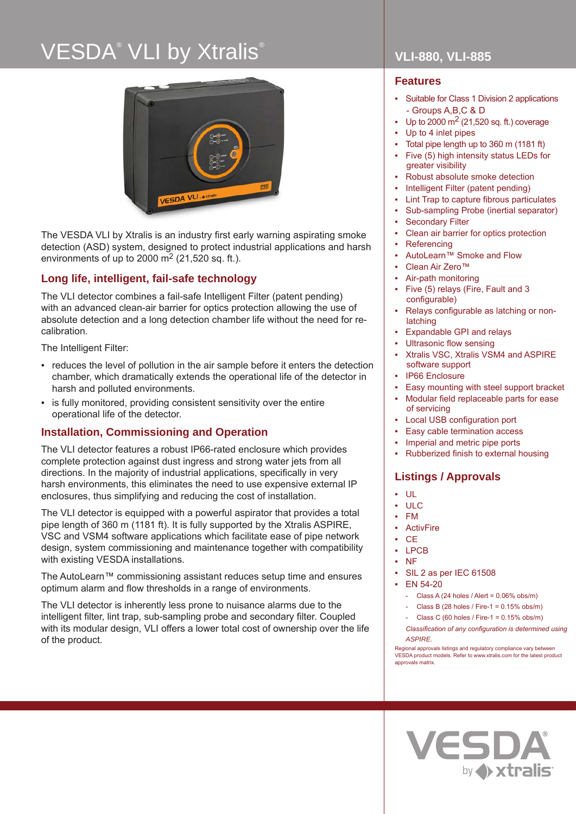# VESDA® VLI by Xtralis®



The VESDA VLI by Xtralis is an industry first early warning aspirating smoke detection (ASD) system, designed to protect industrial applications and harsh environments of up to 2000  $\text{m}^2$  (21,520 sq. ft.).

## **Long life, intelligent, fail-safe technology**

The VLI detector combines a fail-safe Intelligent Filter (patent pending) with an advanced clean-air barrier for optics protection allowing the use of absolute detection and a long detection chamber life without the need for recalibration.

The Intelligent Filter:

- reduces the level of pollution in the air sample before it enters the detection chamber, which dramatically extends the operational life of the detector in harsh and polluted environments.
- is fully monitored, providing consistent sensitivity over the entire operational life of the detector.

## **Installation, Commissioning and Operation**

The VLI detector features a robust IP66-rated enclosure which provides complete protection against dust ingress and strong water jets from all directions. In the majority of industrial applications, specifically in very harsh environments, this eliminates the need to use expensive external IP enclosures, thus simplifying and reducing the cost of installation.

The VLI detector is equipped with a powerful aspirator that provides a total pipe length of 360 m (1181 ft). It is fully supported by the Xtralis ASPIRE, VSC and VSM4 software applications which facilitate ease of pipe network design, system commissioning and maintenance together with compatibility with existing VESDA installations.

The AutoLearn™ commissioning assistant reduces setup time and ensures optimum alarm and flow thresholds in a range of environments.

The VLI detector is inherently less prone to nuisance alarms due to the intelligent filter, lint trap, sub-sampling probe and secondary filter. Coupled with its modular design, VLI offers a lower total cost of ownership over the life of the product.

## **VLI-880, VLI-885**

### **Features**

- Suitable for Class 1 Division 2 applications - Groups A,B,C & D
- Up to 2000  $\text{m}^2$  (21,520 sq. ft.) coverage
- Up to 4 inlet pipes
- Total pipe length up to 360 m (1181 ft)
- Five (5) high intensity status LEDs for greater visibility
- Robust absolute smoke detection
- Intelligent Filter (patent pending)
- Lint Trap to capture fibrous particulates
- Sub-sampling Probe (inertial separator)
- **Secondary Filter**
- Clean air barrier for optics protection
- **Referencing**
- AutoLearn™ Smoke and Flow
- Clean Air Zero™
- Air-path monitoring
- Five (5) relays (Fire, Fault and 3 configurable)
- Relays configurable as latching or nonlatching
- Expandable GPI and relays
- Ultrasonic flow sensing
- Xtralis VSC, Xtralis VSM4 and ASPIRE software support
- IP66 Enclosure
- Easy mounting with steel support bracket
- Modular field replaceable parts for ease of servicing
- Local USB configuration port
- Easy cable termination access
- Imperial and metric pipe ports
- Rubberized finish to external housing

## **Listings / Approvals**

- UL
- ULC
- FM
- **ActivFire**
- CE
- LPCB
- NF
- SIL 2 as per IEC 61508
- EN 54-20
	- Class A (24 holes / Alert =  $0.06\%$  obs/m)
	- Class B (28 holes / Fire-1 = 0.15% obs/m)
	- Class C (60 holes / Fire-1 =  $0.15\%$  obs/m)
	- *Classification of any configuration is determined using ASPIRE.*

Regional approvals listings and regulatory compliance vary between VESDA product models. Refer to www.xtralis.com for the latest product approvals matrix.

**VESDA** 

by A xtralis